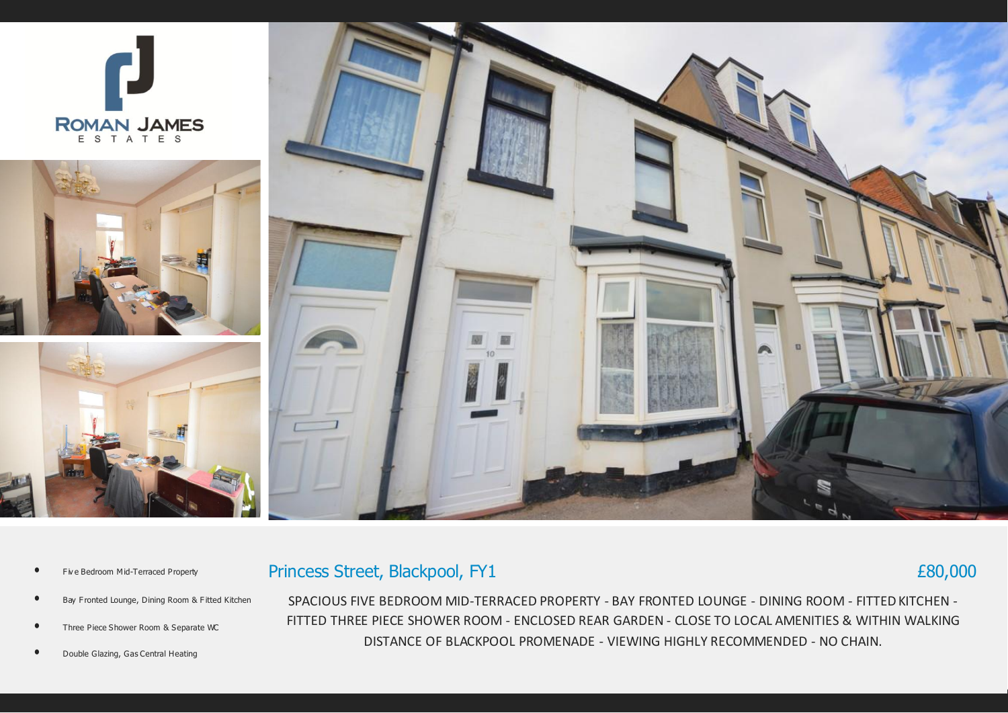

Princess Street, Blackpool, FY1

- Five Bedroom Mid-Terraced Property
- Bay Fronted Lounge, Dining Room & Fitted Kitchen
- Three Piece Shower Room & Separate WC
- Double Glazing, Gas Central Heating

SPACIOUS FIVE BEDROOM MID-TERRACED PROPERTY - BAY FRONTED LOUNGE - DINING ROOM - FITTED KITCHEN - FITTED THREE PIECE SHOWER ROOM - ENCLOSED REAR GARDEN - CLOSE TO LOCAL AMENITIES & WITHIN WALKING DISTANCE OF BLACKPOOL PROMENADE - VIEWING HIGHLY RECOMMENDED - NO CHAIN.

£80,000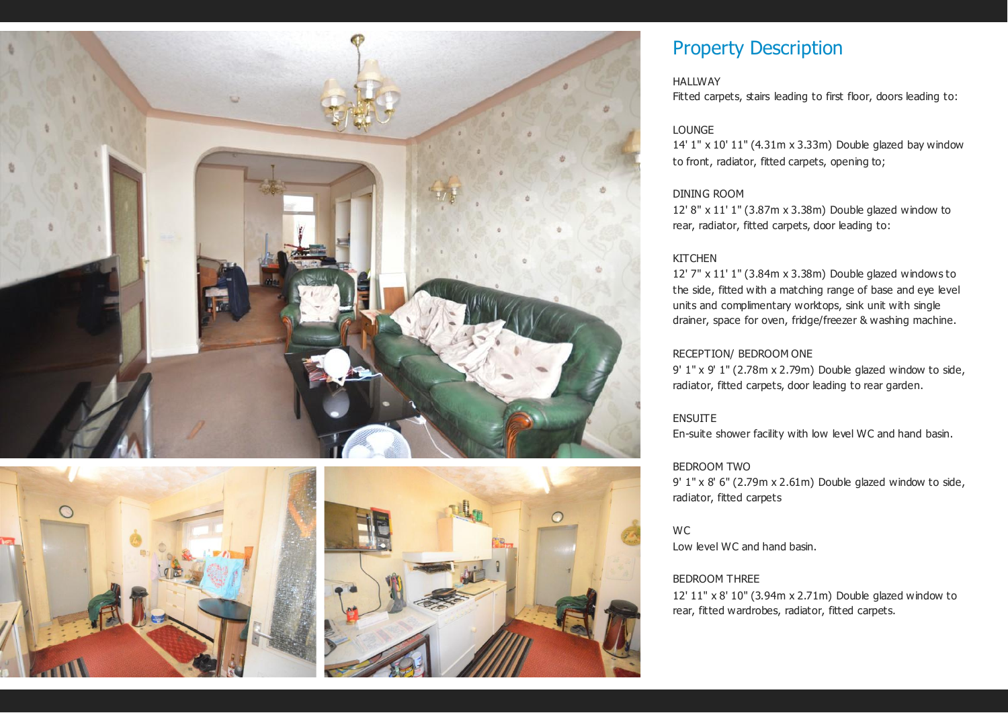



# Property Description

# **HALLWAY**

Fitted carpets, stairs leading to first floor, doors leading to:

# LOUNGE

14' 1" x 10' 11" (4.31m x 3.33m) Double glazed bay window to front, radiator, fitted carpets, opening to;

#### DINING ROOM

12' 8" x 11' 1" (3.87m x 3.38m) Double glazed window to rear, radiator, fitted carpets, door leading to:

# **KITCHEN**

12' 7" x 11' 1" (3.84m x 3.38m) Double glazed windows to the side, fitted with a matching range of base and eye level units and complimentary worktops, sink unit with single drainer, space for oven, fridge/freezer & washing machine.

# RECEPTION/ BEDROOM ONE

9' 1" x 9' 1" (2.78m x 2.79m) Double glazed window to side, radiator, fitted carpets, door leading to rear garden.

#### ENSUITE

En-suite shower facility with low level WC and hand basin.

## BEDROOM TWO

9' 1" x 8' 6" (2.79m x 2.61m) Double glazed window to side, radiator, fitted carpets

**WC** 

Low level WC and hand basin.

# BEDROOM THREE

12' 11" x 8' 10" (3.94m x 2.71m) Double glazed window to rear, fitted wardrobes, radiator, fitted carpets.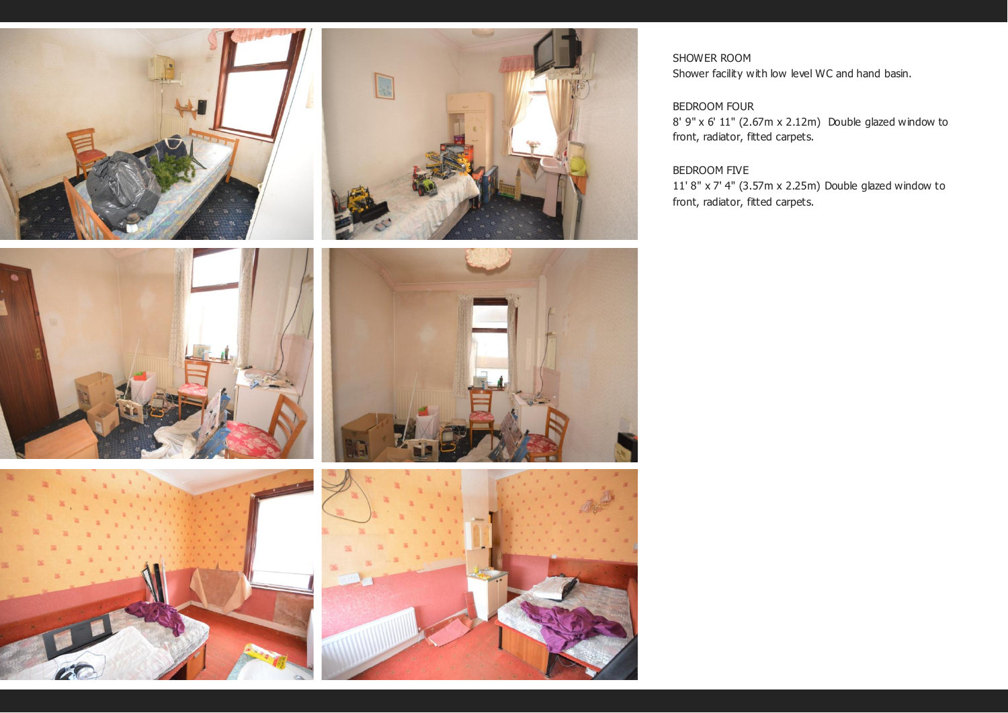









SHOWER ROOM Shower facility with low level WC and hand basin.

# BEDROOM FOUR

8' 9" x 6' 11" (2.67m x 2.12m) Double glazed window to front, radiator, fitted carpets.

# BEDROOM FIVE

11' 8" x 7' 4" (3.57m x 2.25m) Double glazed window to front, radiator, fitted carpets.